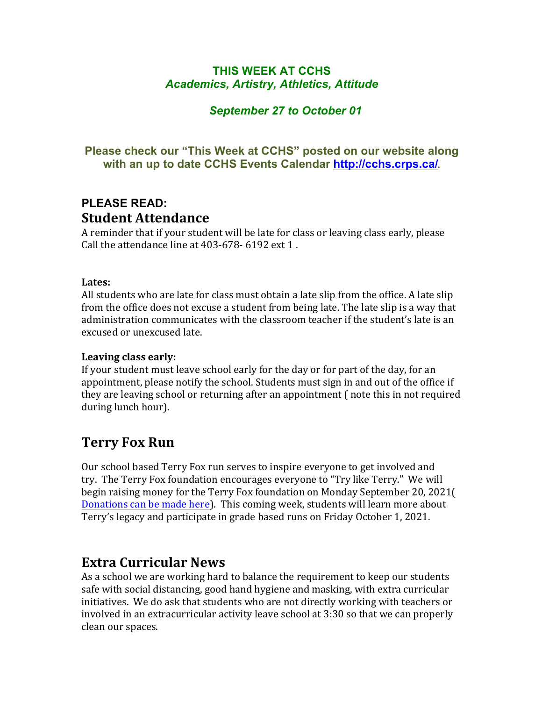## **THIS WEEK AT CCHS** *Academics, Artistry, Athletics, Attitude*

## *September 27 to October 01*

## **Please check our "This Week at CCHS" posted on our website along with an up to date CCHS Events Calendar<http://cchs.crps.ca/>**.

## **PLEASE READ: Student Attendance**

A reminder that if your student will be late for class or leaving class early, please Call the attendance line at  $403-678-6192$  ext  $1$ .

#### **Lates:**

All students who are late for class must obtain a late slip from the office. A late slip from the office does not excuse a student from being late. The late slip is a way that administration communicates with the classroom teacher if the student's late is an excused or unexcused late.

#### Leaving class early:

If your student must leave school early for the day or for part of the day, for an appointment, please notify the school. Students must sign in and out of the office if they are leaving school or returning after an appointment (note this in not required during lunch hour).

## **Terry Fox Run**

Our school based Terry Fox run serves to inspire everyone to get involved and try. The Terry Fox foundation encourages everyone to "Try like Terry." We will begin raising money for the Terry Fox foundation on Monday September 20, 2021( Donations can be made here). This coming week, students will learn more about Terry's legacy and participate in grade based runs on Friday October 1, 2021.

## **Extra Curricular News**

As a school we are working hard to balance the requirement to keep our students safe with social distancing, good hand hygiene and masking, with extra curricular initiatives. We do ask that students who are not directly working with teachers or involved in an extracurricular activity leave school at  $3:30$  so that we can properly clean our spaces.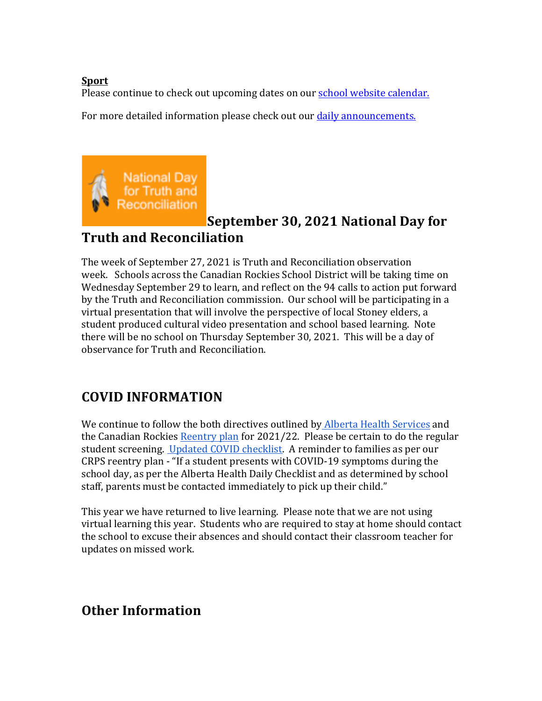### **Sport**

Please continue to check out upcoming dates on our school website calendar.

For more detailed information please check out our daily announcements.



# **September 30, 2021 National Day for Truth and Reconciliation**

The week of September 27, 2021 is Truth and Reconciliation observation week. Schools across the Canadian Rockies School District will be taking time on Wednesday September 29 to learn, and reflect on the 94 calls to action put forward by the Truth and Reconciliation commission. Our school will be participating in a virtual presentation that will involve the perspective of local Stoney elders, a student produced cultural video presentation and school based learning. Note there will be no school on Thursday September 30, 2021. This will be a day of observance for Truth and Reconciliation.

# **COVID INFORMATION**

We continue to follow the both directives outlined by Alberta Health Services and the Canadian Rockies Reentry plan for  $2021/22$ . Please be certain to do the regular student screening. Updated COVID checklist. A reminder to families as per our CRPS reentry plan - "If a student presents with COVID-19 symptoms during the school day, as per the Alberta Health Daily Checklist and as determined by school staff, parents must be contacted immediately to pick up their child."

This year we have returned to live learning. Please note that we are not using virtual learning this year. Students who are required to stay at home should contact the school to excuse their absences and should contact their classroom teacher for updates on missed work.

# **Other Information**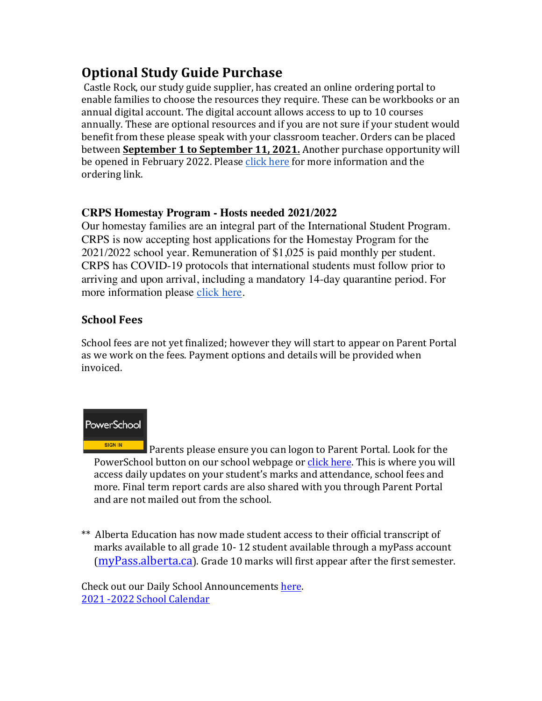# **Optional Study Guide Purchase**

Castle Rock, our study guide supplier, has created an online ordering portal to enable families to choose the resources they require. These can be workbooks or an annual digital account. The digital account allows access to up to 10 courses annually. These are optional resources and if you are not sure if your student would benefit from these please speak with your classroom teacher. Orders can be placed between **September 1 to September 11, 2021.** Another purchase opportunity will be opened in February 2022. Please click here for more information and the ordering link.

### **CRPS Homestay Program - Hosts needed 2021/2022**

Our homestay families are an integral part of the International Student Program. CRPS is now accepting host applications for the Homestay Program for the 2021/2022 school year. Remuneration of \$1,025 is paid monthly per student. CRPS has COVID-19 protocols that international students must follow prior to arriving and upon arrival, including a mandatory 14-day quarantine period. For more information please [click here](https://crps.ca/Homestay Program.php).

## **School Fees**

School fees are not yet finalized; however they will start to appear on Parent Portal as we work on the fees. Payment options and details will be provided when invoiced.

## PowerSchool

**SIGN IN** Parents please ensure you can logon to Parent Portal. Look for the PowerSchool button on our school webpage or click here. This is where you will access daily updates on your student's marks and attendance, school fees and more. Final term report cards are also shared with you through Parent Portal and are not mailed out from the school.

\*\* Alberta Education has now made student access to their official transcript of marks available to all grade 10-12 student available through a myPass account  $(myPass.alberta.ca)$  $(myPass.alberta.ca)$ . Grade 10 marks will first appear after the first semester.

Check out our Daily School Announcements here. 2021 -2022 School Calendar